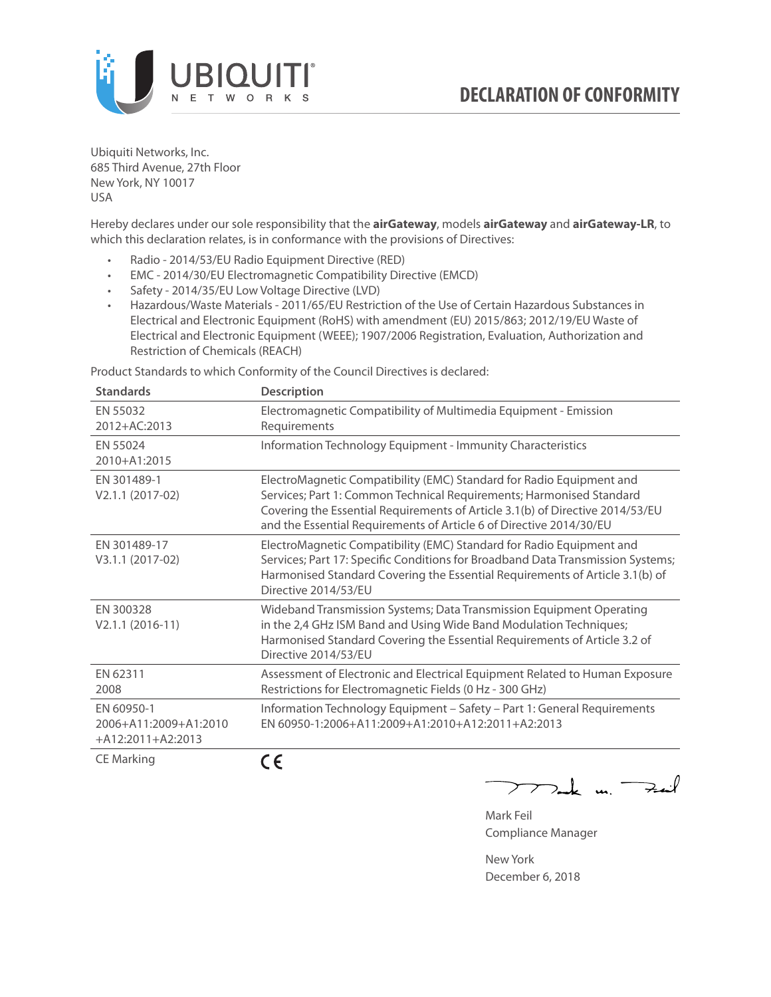

Ubiquiti Networks, Inc. 685 Third Avenue, 27th Floor New York, NY 10017 USA

Hereby declares under our sole responsibility that the **airGateway**, models **airGateway** and **airGateway-LR**, to which this declaration relates, is in conformance with the provisions of Directives:

- Radio 2014/53/EU Radio Equipment Directive (RED)
- EMC 2014/30/EU Electromagnetic Compatibility Directive (EMCD)
- Safety 2014/35/EU Low Voltage Directive (LVD)
- Hazardous/Waste Materials 2011/65/EU Restriction of the Use of Certain Hazardous Substances in Electrical and Electronic Equipment (RoHS) with amendment (EU) 2015/863; 2012/19/EU Waste of Electrical and Electronic Equipment (WEEE); 1907/2006 Registration, Evaluation, Authorization and Restriction of Chemicals (REACH)

Product Standards to which Conformity of the Council Directives is declared:

| <b>Standards</b>                                           | <b>Description</b>                                                                                                                                                                                                                                                                                   |
|------------------------------------------------------------|------------------------------------------------------------------------------------------------------------------------------------------------------------------------------------------------------------------------------------------------------------------------------------------------------|
| EN 55032<br>2012+AC:2013                                   | Electromagnetic Compatibility of Multimedia Equipment - Emission<br>Requirements                                                                                                                                                                                                                     |
| EN 55024<br>2010+A1:2015                                   | Information Technology Equipment - Immunity Characteristics                                                                                                                                                                                                                                          |
| EN 301489-1<br>V2.1.1 (2017-02)                            | ElectroMagnetic Compatibility (EMC) Standard for Radio Equipment and<br>Services; Part 1: Common Technical Requirements; Harmonised Standard<br>Covering the Essential Requirements of Article 3.1(b) of Directive 2014/53/EU<br>and the Essential Requirements of Article 6 of Directive 2014/30/EU |
| EN 301489-17<br>V3.1.1 (2017-02)                           | ElectroMagnetic Compatibility (EMC) Standard for Radio Equipment and<br>Services; Part 17: Specific Conditions for Broadband Data Transmission Systems;<br>Harmonised Standard Covering the Essential Requirements of Article 3.1(b) of<br>Directive 2014/53/EU                                      |
| EN 300328<br>$V2.1.1 (2016-11)$                            | Wideband Transmission Systems; Data Transmission Equipment Operating<br>in the 2,4 GHz ISM Band and Using Wide Band Modulation Techniques;<br>Harmonised Standard Covering the Essential Requirements of Article 3.2 of<br>Directive 2014/53/EU                                                      |
| EN 62311<br>2008                                           | Assessment of Electronic and Electrical Equipment Related to Human Exposure<br>Restrictions for Electromagnetic Fields (0 Hz - 300 GHz)                                                                                                                                                              |
| EN 60950-1<br>2006+A11:2009+A1:2010<br>$+A12:2011+A2:2013$ | Information Technology Equipment - Safety - Part 1: General Requirements<br>FN 60950-1:2006+A11:2009+A1:2010+A12:2011+A2:2013                                                                                                                                                                        |
| <b>CE Marking</b>                                          | $\epsilon$                                                                                                                                                                                                                                                                                           |

 $772$ ak m. Fail

Mark Feil Compliance Manager

New York December 6, 2018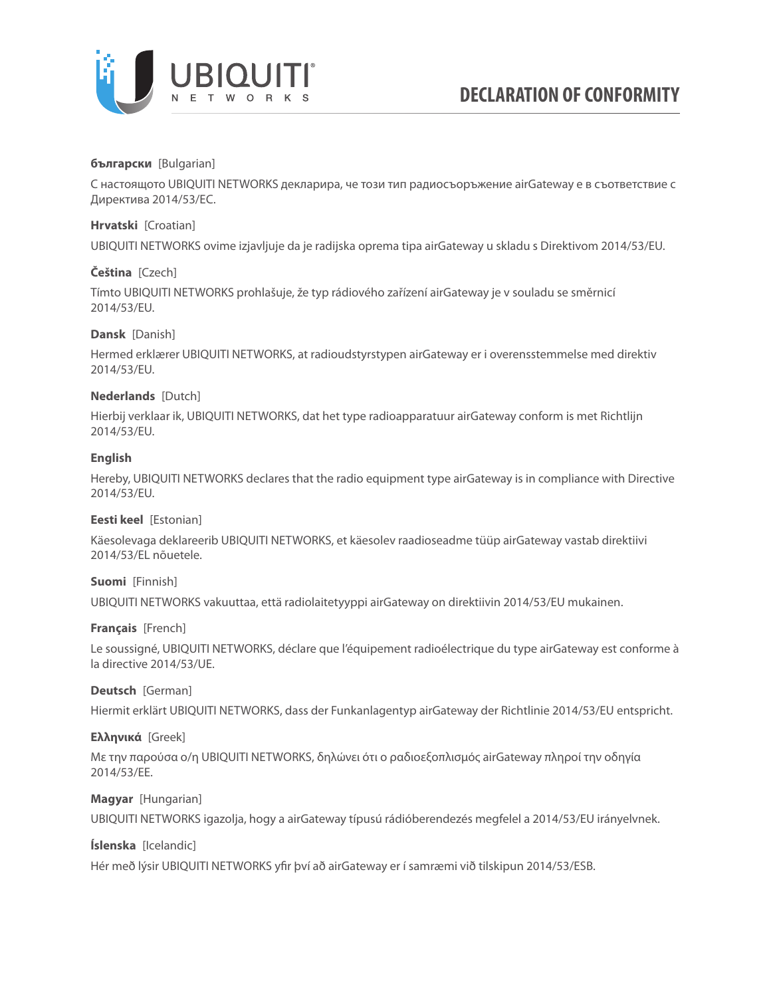

## **български** [Bulgarian]

С настоящото UBIQUITI NETWORKS декларира, че този тип радиосъоръжение airGateway е в съответствие с Директива 2014/53/ЕС.

## **Hrvatski** [Croatian]

UBIQUITI NETWORKS ovime izjavljuje da je radijska oprema tipa airGateway u skladu s Direktivom 2014/53/EU.

# **Čeština** [Czech]

Tímto UBIQUITI NETWORKS prohlašuje, že typ rádiového zařízení airGateway je v souladu se směrnicí 2014/53/EU.

## **Dansk** [Danish]

Hermed erklærer UBIQUITI NETWORKS, at radioudstyrstypen airGateway er i overensstemmelse med direktiv 2014/53/EU.

## **Nederlands** [Dutch]

Hierbij verklaar ik, UBIQUITI NETWORKS, dat het type radioapparatuur airGateway conform is met Richtlijn 2014/53/EU.

## **English**

Hereby, UBIQUITI NETWORKS declares that the radio equipment type airGateway is in compliance with Directive 2014/53/EU.

## **Eesti keel** [Estonian]

Käesolevaga deklareerib UBIQUITI NETWORKS, et käesolev raadioseadme tüüp airGateway vastab direktiivi 2014/53/EL nõuetele.

# **Suomi** [Finnish]

UBIQUITI NETWORKS vakuuttaa, että radiolaitetyyppi airGateway on direktiivin 2014/53/EU mukainen.

## **Français** [French]

Le soussigné, UBIQUITI NETWORKS, déclare que l'équipement radioélectrique du type airGateway est conforme à la directive 2014/53/UE.

## **Deutsch** [German]

Hiermit erklärt UBIQUITI NETWORKS, dass der Funkanlagentyp airGateway der Richtlinie 2014/53/EU entspricht.

## **Ελληνικά** [Greek]

Με την παρούσα ο/η UBIQUITI NETWORKS, δηλώνει ότι ο ραδιοεξοπλισμός airGateway πληροί την οδηγία 2014/53/ΕΕ.

## **Magyar** [Hungarian]

UBIQUITI NETWORKS igazolja, hogy a airGateway típusú rádióberendezés megfelel a 2014/53/EU irányelvnek.

## **Íslenska** [Icelandic]

Hér með lýsir UBIQUITI NETWORKS yfir því að airGateway er í samræmi við tilskipun 2014/53/ESB.